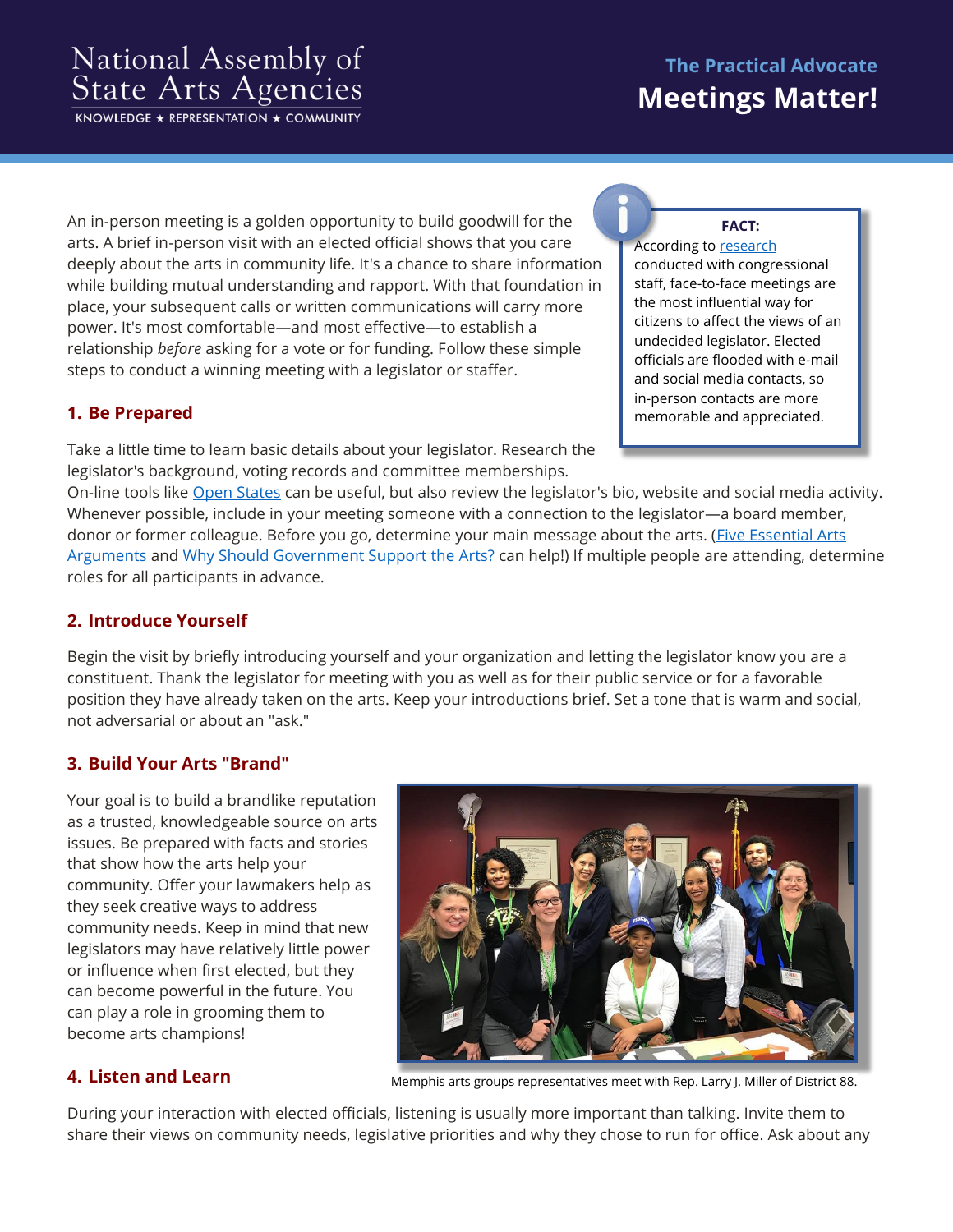# National Assembly of<br>State Arts Agencies

KNOWLEDGE \* REPRESENTATION \* COMMUNITY

# **The Practical Advocate Meetings Matter!**

An in-person meeting is a golden opportunity to build goodwill for the arts. A brief in-person visit with an elected official shows that you care deeply about the arts in community life. It's a chance to share information while building mutual understanding and rapport. With that foundation in place, your subsequent calls or written communications will carry more power. It's most comfortable—and most effective—to establish a relationship *before* asking for a vote or for funding. Follow these simple steps to conduct a winning meeting with a legislator or staffer.

## **1. Be Prepared**

Take a little time to learn basic details about your legislator. Research the legislator's background, voting records and committee memberships.

#### **FACT:**

According t[o research](http://www.congressfoundation.org/storage/documents/CMF_Pubs/cmf-citizen-centric-advocacy.pdf) conducted with congressional staff, face-to-face meetings are the most influential way for citizens to affect the views of an undecided legislator. Elected officials are flooded with e-mail and social media contacts, so in-person contacts are more memorable and appreciated.

On-line tools like [Open States](https://openstates.org/) can be useful, but also review the legislator's bio, website and social media activity. Whenever possible, include in your meeting someone with a connection to the legislator—a board member, donor or former colleague. Before you go, determine your main message about the arts. (Five Essential Arts [Arguments](https://nasaa-arts.org/nasaa_advocacy/5-essential-arguments/) and [Why Should Government Support the Arts?](https://nasaa-arts.org/nasaa_advocacy/why-government-support/) can help!) If multiple people are attending, determine roles for all participants in advance.

#### **2. Introduce Yourself**

Begin the visit by briefly introducing yourself and your organization and letting the legislator know you are a constituent. Thank the legislator for meeting with you as well as for their public service or for a favorable position they have already taken on the arts. Keep your introductions brief. Set a tone that is warm and social, not adversarial or about an "ask."

#### **3. Build Your Arts "Brand"**

Your goal is to build a brandlike reputation as a trusted, knowledgeable source on arts issues. Be prepared with facts and stories that show how the arts help your community. Offer your lawmakers help as they seek creative ways to address community needs. Keep in mind that new legislators may have relatively little power or influence when first elected, but they can become powerful in the future. You can play a role in grooming them to become arts champions!



#### **4. Listen and Learn**

Memphis arts groups representatives meet with Rep. Larry J. Miller of District 88.

During your interaction with elected officials, listening is usually more important than talking. Invite them to share their views on community needs, legislative priorities and why they chose to run for office. Ask about any